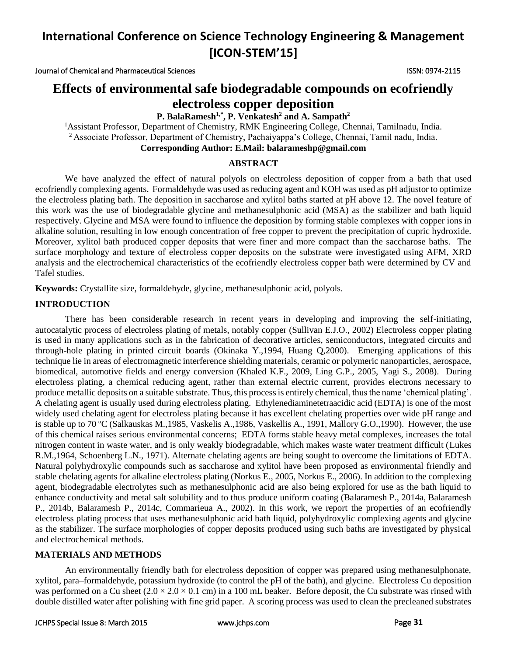Journal of Chemical and Pharmaceutical Sciences ISSN: 0974-2115

### **Effects of environmental safe biodegradable compounds on ecofriendly electroless copper deposition**

**P. BalaRamesh1,\*, P. Venkatesh<sup>2</sup> and A. Sampath<sup>2</sup>**

<sup>1</sup>Assistant Professor, Department of Chemistry, RMK Engineering College, Chennai, Tamilnadu, India. <sup>2</sup> Associate Professor, Department of Chemistry, Pachaiyappa's College, Chennai, Tamil nadu, India. **Corresponding Author: E.Mail: balarameshp@gmail.com** 

### **ABSTRACT**

We have analyzed the effect of natural polyols on electroless deposition of copper from a bath that used ecofriendly complexing agents. Formaldehyde was used as reducing agent and KOH was used as pH adjustor to optimize the electroless plating bath. The deposition in saccharose and xylitol baths started at pH above 12. The novel feature of this work was the use of biodegradable glycine and methanesulphonic acid (MSA) as the stabilizer and bath liquid respectively. Glycine and MSA were found to influence the deposition by forming stable complexes with copper ions in alkaline solution, resulting in low enough concentration of free copper to prevent the precipitation of cupric hydroxide. Moreover, xylitol bath produced copper deposits that were finer and more compact than the saccharose baths. The surface morphology and texture of electroless copper deposits on the substrate were investigated using AFM, XRD analysis and the electrochemical characteristics of the ecofriendly electroless copper bath were determined by CV and Tafel studies.

**Keywords:** Crystallite size, formaldehyde, glycine, methanesulphonic acid, polyols.

### **INTRODUCTION**

There has been considerable research in recent years in developing and improving the self-initiating, autocatalytic process of electroless plating of metals, notably copper (Sullivan E.J.O., 2002) Electroless copper plating is used in many applications such as in the fabrication of decorative articles, semiconductors, integrated circuits and through-hole plating in printed circuit boards (Okinaka Y.,1994, Huang Q,2000). Emerging applications of this technique lie in areas of electromagnetic interference shielding materials, ceramic or polymeric nanoparticles, aerospace, biomedical, automotive fields and energy conversion [\(Khaled](http://www.sciencedirect.com/science/article/pii/S0254058409002909) K.F., 2009, Ling G.P., 2005, Yagi S., 2008). During electroless plating, a chemical reducing agent, rather than external electric current, provides electrons necessary to produce metallic deposits on a suitable substrate. Thus, this process is entirely chemical, thus the name 'chemical plating'. A chelating agent is usually used during electroless plating. Ethylenediaminetetraacidic acid (EDTA) is one of the most widely used chelating agent for electroless plating because it has excellent chelating properties over wide pH range and is stable up to 70 ºC (Salkauskas M.,1985, Vaskelis A.,1986, Vaskellis A., 1991, Mallory G.O.,1990). However, the use of this chemical raises serious environmental concerns; EDTA forms stable heavy metal complexes, increases the total nitrogen content in waste water, and is only weakly biodegradable, which makes waste water treatment difficult (Lukes R.M.,1964, Schoenberg L.N., 1971). Alternate chelating agents are being sought to overcome the limitations of EDTA. Natural polyhydroxylic compounds such as saccharose and xylitol have been proposed as environmental friendly and stable chelating agents for alkaline electroless plating [\(Norkus](http://link.springer.com/search?facet-author=%22E.+Norkus%22) E., 2005[, Norkus](http://link.springer.com/search?facet-author=%22E.+Norkus%22) E., 2006). In addition to the complexing agent, biodegradable electrolytes such as methanesulphonic acid are also being explored for use as the bath liquid to enhance conductivity and metal salt solubility and to thus produce uniform coating (Balaramesh P., 2014a, Balaramesh P., 2014b, Balaramesh P., 2014c, Commarieua A., 2002). In this work, we report the properties of an ecofriendly electroless plating process that uses methanesulphonic acid bath liquid, polyhydroxylic complexing agents and glycine as the stabilizer. The surface morphologies of copper deposits produced using such baths are investigated by physical and electrochemical methods.

### **MATERIALS AND METHODS**

An environmentally friendly bath for electroless deposition of copper was prepared using methanesulphonate, xylitol, para–formaldehyde, potassium hydroxide (to control the pH of the bath), and glycine. Electroless Cu deposition was performed on a Cu sheet  $(2.0 \times 2.0 \times 0.1 \text{ cm})$  in a 100 mL beaker. Before deposit, the Cu substrate was rinsed with double distilled water after polishing with fine grid paper. A scoring process was used to clean the precleaned substrates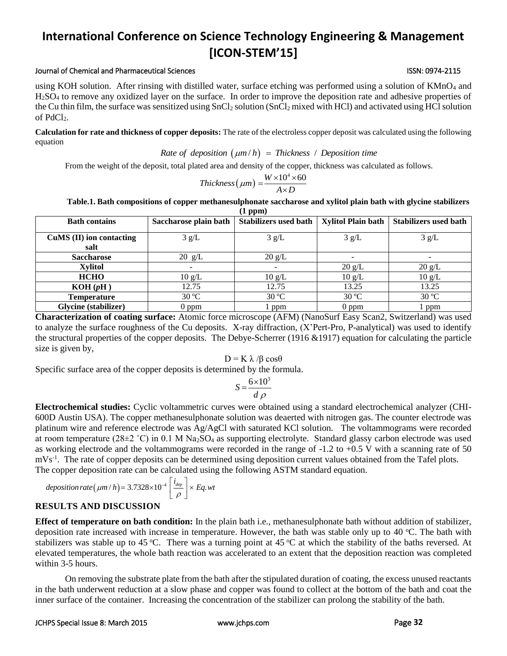### JCHPS Special Issue 8: March 2015 [www.jchps.com](http://www.jchps.com/) Page **32**

### **International Conference on Science Technology Engineering & Management [ICON-STEM'15]**

### Journal of Chemical and Pharmaceutical Sciences ISSN: 0974-2115

using KOH solution. After rinsing with distilled water, surface etching was performed using a solution of KMnO<sub>4</sub> and H2SO<sup>4</sup> to remove any oxidized layer on the surface. In order to improve the deposition rate and adhesive properties of the Cu thin film, the surface was sensitized using SnCl<sub>2</sub> solution (SnCl<sub>2</sub> mixed with HCl) and activated using HCl solution of PdCl<sub>2</sub>.

**Calculation for rate and thickness of copper deposits:** The rate of the electroless copper deposit was calculated using the following equation<br>  $Rate of deposition(\mu m/h) = Thickness / Deposition time$ equation

From the weight of the deposit, total plated area and density of the copper, thickness was calculated as follows.<br>  $Thickness(\mu m) = \frac{W \times 10^4 \times 60}{4 \times D}$ 

$$
Thickness(\mu m) = \frac{W \times 10^4 \times 60}{A \times D}
$$

**Table.1. Bath compositions of copper methanesulphonate saccharose and xylitol plain bath with glycine stabilizers** 

| $(1$ ppm $)$                |                          |                              |                           |                              |  |
|-----------------------------|--------------------------|------------------------------|---------------------------|------------------------------|--|
| <b>Bath contains</b>        | Saccharose plain bath    | <b>Stabilizers used bath</b> | <b>Xylitol Plain bath</b> | <b>Stabilizers used bath</b> |  |
| $CuMS$ (II) ion contacting  | 3 g/L                    | 3 g/L                        | 3 g/L                     | 3 g/L                        |  |
| salt<br><b>Saccharose</b>   | $20 \text{ g/L}$         | $20 \text{ g/L}$             | $\overline{\phantom{0}}$  |                              |  |
| <b>Xylitol</b>              | $\overline{\phantom{a}}$ |                              | $20 \text{ g/L}$          | $20 \text{ g/L}$             |  |
| <b>HCHO</b>                 | $10 \text{ g/L}$         | $10 \text{ g/L}$             | $10 \text{ g/L}$          | $10 \text{ g/L}$             |  |
| KOH(pH)                     | 12.75                    | 12.75                        | 13.25                     | 13.25                        |  |
| <b>Temperature</b>          | $30^{\circ}$ C           | 30 °C                        | 30 °C                     | 30 °C                        |  |
| <b>Glycine</b> (stabilizer) | $0$ ppm                  | l ppm                        | $0$ ppm                   | l ppm                        |  |

**Characterization of coating surface:** Atomic force microscope (AFM) (NanoSurf Easy Scan2, Switzerland) was used to analyze the surface roughness of the Cu deposits. X-ray diffraction, (X'Pert-Pro, P-analytical) was used to identify the structural properties of the copper deposits. The Debye-Scherrer (1916  $&0.1917$ ) equation for calculating the particle size is given by,

$$
D = K \lambda / \beta \cos \theta
$$

Specific surface area of the copper deposits is determined by the formula.

$$
S = \frac{6 \times 10^3}{d \rho}
$$

**Electrochemical studies:** Cyclic voltammetric curves were obtained using a standard electrochemical analyzer (CHI-600D Austin USA). The copper methanesulphonate solution was deaerted with nitrogen gas. The counter electrode was platinum wire and reference electrode was Ag/AgCl with saturated KCl solution. The voltammograms were recorded at room temperature (28 $\pm$ 2 °C) in 0.1 M Na<sub>2</sub>SO<sub>4</sub> as supporting electrolyte. Standard glassy carbon electrode was used as working electrode and the voltammograms were recorded in the range of  $-1.2$  to  $+0.5$  V with a scanning rate of 50 mVs<sup>-1</sup>. The rate of copper deposits can be determined using deposition current values obtained from the Tafel plots. The copper deposition rate can be calculated using the following ASTM standard equation.<br> *deposition rate*  $(\mu m/h) = 3.7328 \times 10^{-4} \left[ \frac{i_{dep}}{\rho} \right] \times Eq. wt$ 

$$
leposition\ rate\left(\mu m/h\right) = 3.7328 \times 10^{-4} \left[\frac{i_{dep}}{\rho}\right] \times Eq. wt
$$

### **RESULTS AND DISCUSSION**

**Effect of temperature on bath condition:** In the plain bath i.e., methanesulphonate bath without addition of stabilizer, deposition rate increased with increase in temperature. However, the bath was stable only up to 40  $^{\circ}$ C. The bath with stabilizers was stable up to 45 °C. There was a turning point at 45 °C at which the stability of the baths reversed. At elevated temperatures, the whole bath reaction was accelerated to an extent that the deposition reaction was completed within 3-5 hours.

On removing the substrate plate from the bath after the stipulated duration of coating, the excess unused reactants in the bath underwent reduction at a slow phase and copper was found to collect at the bottom of the bath and coat the inner surface of the container. Increasing the concentration of the stabilizer can prolong the stability of the bath.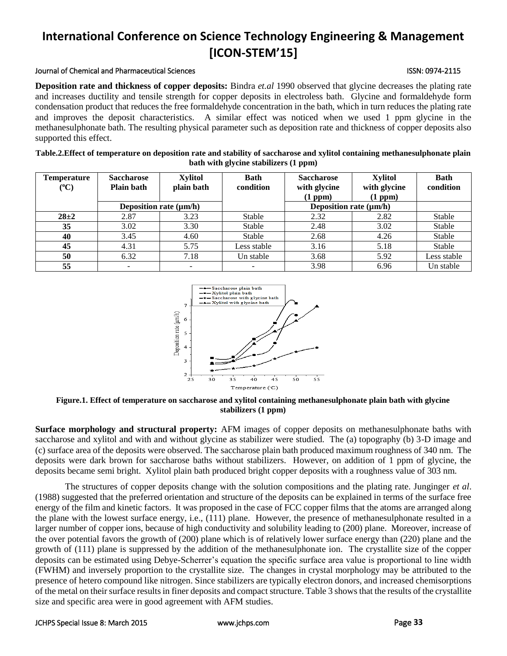#### Journal of Chemical and Pharmaceutical Sciences ISSN: 0974-2115

**Deposition rate and thickness of copper deposits:** Bindra *et.al* 1990 observed that glycine decreases the plating rate and increases ductility and tensile strength for copper deposits in electroless bath. Glycine and formaldehyde form condensation product that reduces the free formaldehyde concentration in the bath, which in turn reduces the plating rate and improves the deposit characteristics. A similar effect was noticed when we used 1 ppm glycine in the methanesulphonate bath. The resulting physical parameter such as deposition rate and thickness of copper deposits also supported this effect.

| Table.2. Effect of temperature on deposition rate and stability of saccharose and xylitol containing methanesulphonate plain |
|------------------------------------------------------------------------------------------------------------------------------|
| bath with glycine stabilizers (1 ppm)                                                                                        |

| Temperature<br>$({}^0C)$ | <b>Saccharose</b><br><b>Plain bath</b> | <b>Xylitol</b><br>plain bath | Bath<br>condition | <b>Saccharose</b><br>with glycine<br>(1 ppm) | <b>Xylitol</b><br>with glycine<br>(1 ppm) | <b>Bath</b><br>condition |
|--------------------------|----------------------------------------|------------------------------|-------------------|----------------------------------------------|-------------------------------------------|--------------------------|
|                          |                                        | Deposition rate $(\mu m/h)$  |                   | Deposition rate $(\mu m/h)$                  |                                           |                          |
| $28 + 2$                 | 2.87                                   | 3.23                         | Stable            | 2.32                                         | 2.82                                      | Stable                   |
| 35                       | 3.02                                   | 3.30                         | Stable            | 2.48                                         | 3.02                                      | Stable                   |
| 40                       | 3.45                                   | 4.60                         | Stable            | 2.68                                         | 4.26                                      | Stable                   |
| 45                       | 4.31                                   | 5.75                         | Less stable       | 3.16                                         | 5.18                                      | Stable                   |
| 50                       | 6.32                                   | 7.18                         | Un stable         | 3.68                                         | 5.92                                      | Less stable              |
| 55                       |                                        |                              |                   | 3.98                                         | 6.96                                      | Un stable                |



**Figure.1. Effect of temperature on saccharose and xylitol containing methanesulphonate plain bath with glycine stabilizers (1 ppm)**

**Surface morphology and structural property:** AFM images of copper deposits on methanesulphonate baths with saccharose and xylitol and with and without glycine as stabilizer were studied. The (a) topography (b) 3-D image and (c) surface area of the deposits were observed. The saccharose plain bath produced maximum roughness of 340 nm. The deposits were dark brown for saccharose baths without stabilizers. However, on addition of 1 ppm of glycine, the deposits became semi bright. Xylitol plain bath produced bright copper deposits with a roughness value of 303 nm.

The structures of copper deposits change with the solution compositions and the plating rate. Junginger *et al*. (1988) suggested that the preferred orientation and structure of the deposits can be explained in terms of the surface free energy of the film and kinetic factors. It was proposed in the case of FCC copper films that the atoms are arranged along the plane with the lowest surface energy, i.e., (111) plane. However, the presence of methanesulphonate resulted in a larger number of copper ions, because of high conductivity and solubility leading to (200) plane. Moreover, increase of the over potential favors the growth of (200) plane which is of relatively lower surface energy than (220) plane and the growth of (111) plane is suppressed by the addition of the methanesulphonate ion. The crystallite size of the copper deposits can be estimated using Debye-Scherrer's equation the specific surface area value is proportional to line width (FWHM) and inversely proportion to the crystallite size. The changes in crystal morphology may be attributed to the presence of hetero compound like nitrogen. Since stabilizers are typically electron donors, and increased chemisorptions of the metal on their surface results in finer deposits and compact structure. Table 3 shows that the results of the crystallite size and specific area were in good agreement with AFM studies.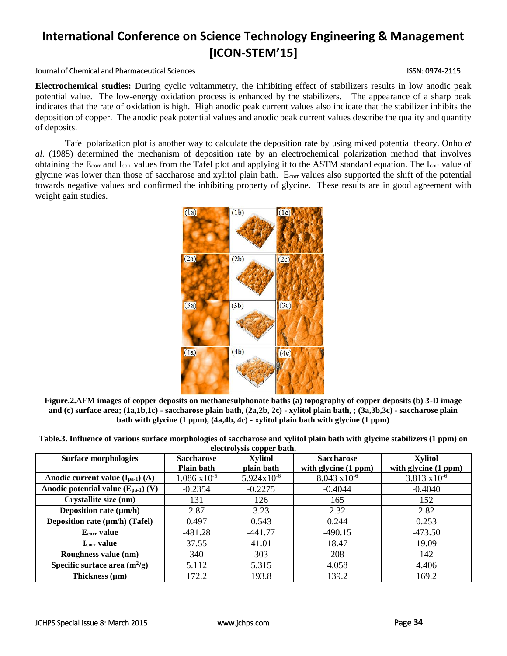### Journal of Chemical and Pharmaceutical Sciences ISSN: 0974-2115

**Electrochemical studies:** During cyclic voltammetry, the inhibiting effect of stabilizers results in low anodic peak potential value. The low-energy oxidation process is enhanced by the stabilizers. The appearance of a sharp peak indicates that the rate of oxidation is high. High anodic peak current values also indicate that the stabilizer inhibits the deposition of copper. The anodic peak potential values and anodic peak current values describe the quality and quantity of deposits.

Tafel polarization plot is another way to calculate the deposition rate by using mixed potential theory. Onho *et al*. (1985) determined the mechanism of deposition rate by an electrochemical polarization method that involves obtaining the E<sub>corr</sub> and I<sub>corr</sub> values from the Tafel plot and applying it to the ASTM standard equation. The I<sub>corr</sub> value of glycine was lower than those of saccharose and xylitol plain bath. Ecorr values also supported the shift of the potential towards negative values and confirmed the inhibiting property of glycine. These results are in good agreement with weight gain studies.

**Figure.2.AFM images of copper deposits on methanesulphonate baths (a) topography of copper deposits (b) 3-D image and (c) surface area; (1a,1b,1c) - saccharose plain bath, (2a,2b, 2c) - xylitol plain bath, ; (3a,3b,3c) - saccharose plain bath with glycine (1 ppm), (4a,4b, 4c) - xylitol plain bath with glycine (1 ppm)**

| Table.3. Influence of various surface morphologies of saccharose and xylitol plain bath with glycine stabilizers (1 ppm) on |  |
|-----------------------------------------------------------------------------------------------------------------------------|--|
| electrolysis copper bath.                                                                                                   |  |

| <b>Surface morphologies</b>             | <b>Saccharose</b>      | <b>Xylitol</b>         | <b>Saccharose</b>      | <b>Xylitol</b>         |
|-----------------------------------------|------------------------|------------------------|------------------------|------------------------|
|                                         | <b>Plain bath</b>      | plain bath             | with glycine (1 ppm)   | with glycine (1 ppm)   |
| Anodic current value $(I_{pa-1})$ $(A)$ | $1.086 \times 10^{-5}$ | $5.924 \times 10^{-6}$ | $8.043 \times 10^{-6}$ | $3.813 \times 10^{-6}$ |
| Anodic potential value $(E_{pa-1})$ (V) | $-0.2354$              | $-0.2275$              | $-0.4044$              | $-0.4040$              |
| Crystallite size (nm)                   | 131                    | 126                    | 165                    | 152                    |
| Deposition rate $(\mu m/h)$             | 2.87                   | 3.23                   | 2.32                   | 2.82                   |
| Deposition rate (µm/h) (Tafel)          | 0.497                  | 0.543                  | 0.244                  | 0.253                  |
| Ecorr value                             | $-481.28$              | $-441.77$              | $-490.15$              | $-473.50$              |
| <b>Lcorr value</b>                      | 37.55                  | 41.01                  | 18.47                  | 19.09                  |
| Roughness value (nm)                    | 340                    | 303                    | 208                    | 142                    |
| Specific surface area $(m^2/g)$         | 5.112                  | 5.315                  | 4.058                  | 4.406                  |
| Thickness $(\mu m)$                     | 172.2                  | 193.8                  | 139.2                  | 169.2                  |

# $(1a)$  $(1c)$  $(1b)$  $(2b)$  $(2a)$  $(2c)$  $(3b)$  $(3c)$  $(3a)$  $(4a)$  $(4b)$  $(4c)$